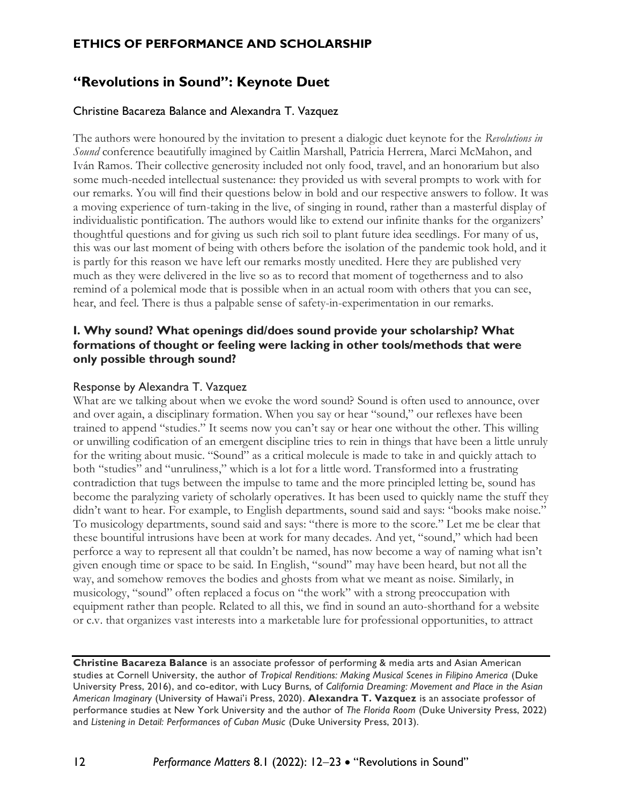## **ETHICS OF PERFORMANCE AND SCHOLARSHIP**

# **"Revolutions in Sound": Keynote Duet**

### Christine Bacareza Balance and Alexandra T. Vazquez

The authors were honoured by the invitation to present a dialogic duet keynote for the *Revolutions in Sound* conference beautifully imagined by Caitlin Marshall, Patricia Herrera, Marci McMahon, and Iván Ramos. Their collective generosity included not only food, travel, and an honorarium but also some much-needed intellectual sustenance: they provided us with several prompts to work with for our remarks. You will find their questions below in bold and our respective answers to follow. It was a moving experience of turn-taking in the live, of singing in round, rather than a masterful display of individualistic pontification. The authors would like to extend our infinite thanks for the organizers' thoughtful questions and for giving us such rich soil to plant future idea seedlings. For many of us, this was our last moment of being with others before the isolation of the pandemic took hold, and it is partly for this reason we have left our remarks mostly unedited. Here they are published very much as they were delivered in the live so as to record that moment of togetherness and to also remind of a polemical mode that is possible when in an actual room with others that you can see, hear, and feel. There is thus a palpable sense of safety-in-experimentation in our remarks.

### **I. Why sound? What openings did/does sound provide your scholarship? What formations of thought or feeling were lacking in other tools/methods that were only possible through sound?**

#### Response by Alexandra T. Vazquez

What are we talking about when we evoke the word sound? Sound is often used to announce, over and over again, a disciplinary formation. When you say or hear "sound," our reflexes have been trained to append "studies." It seems now you can't say or hear one without the other. This willing or unwilling codification of an emergent discipline tries to rein in things that have been a little unruly for the writing about music. "Sound" as a critical molecule is made to take in and quickly attach to both "studies" and "unruliness," which is a lot for a little word. Transformed into a frustrating contradiction that tugs between the impulse to tame and the more principled letting be, sound has become the paralyzing variety of scholarly operatives. It has been used to quickly name the stuff they didn't want to hear. For example, to English departments, sound said and says: "books make noise." To musicology departments, sound said and says: "there is more to the score." Let me be clear that these bountiful intrusions have been at work for many decades. And yet, "sound," which had been perforce a way to represent all that couldn't be named, has now become a way of naming what isn't given enough time or space to be said. In English, "sound" may have been heard, but not all the way, and somehow removes the bodies and ghosts from what we meant as noise. Similarly, in musicology, "sound" often replaced a focus on "the work" with a strong preoccupation with equipment rather than people. Related to all this, we find in sound an auto-shorthand for a website or c.v. that organizes vast interests into a marketable lure for professional opportunities, to attract

**Christine Bacareza Balance** is an associate professor of performing & media arts and Asian American studies at Cornell University, the author of *Tropical Renditions: Making Musical Scenes in Filipino America* (Duke University Press, 2016), and co-editor, with Lucy Burns, of *California Dreaming: Movement and Place in the Asian American Imaginary* (University of Hawai'i Press, 2020). **Alexandra T. Vazquez** is an associate professor of performance studies at New York University and the author of *The Florida Room* (Duke University Press, 2022) and *Listening in Detail: Performances of Cuban Music* (Duke University Press, 2013).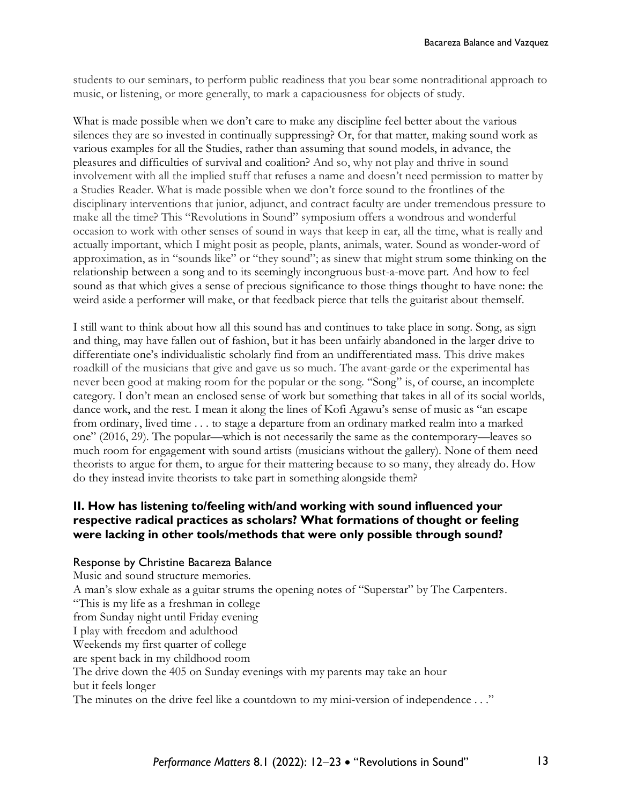students to our seminars, to perform public readiness that you bear some nontraditional approach to music, or listening, or more generally, to mark a capaciousness for objects of study.

What is made possible when we don't care to make any discipline feel better about the various silences they are so invested in continually suppressing? Or, for that matter, making sound work as various examples for all the Studies, rather than assuming that sound models, in advance, the pleasures and difficulties of survival and coalition? And so, why not play and thrive in sound involvement with all the implied stuff that refuses a name and doesn't need permission to matter by a Studies Reader. What is made possible when we don't force sound to the frontlines of the disciplinary interventions that junior, adjunct, and contract faculty are under tremendous pressure to make all the time? This "Revolutions in Sound" symposium offers a wondrous and wonderful occasion to work with other senses of sound in ways that keep in ear, all the time, what is really and actually important, which I might posit as people, plants, animals, water. Sound as wonder-word of approximation, as in "sounds like" or "they sound"; as sinew that might strum some thinking on the relationship between a song and to its seemingly incongruous bust-a-move part. And how to feel sound as that which gives a sense of precious significance to those things thought to have none: the weird aside a performer will make, or that feedback pierce that tells the guitarist about themself.

I still want to think about how all this sound has and continues to take place in song. Song, as sign and thing, may have fallen out of fashion, but it has been unfairly abandoned in the larger drive to differentiate one's individualistic scholarly find from an undifferentiated mass. This drive makes roadkill of the musicians that give and gave us so much. The avant-garde or the experimental has never been good at making room for the popular or the song. "Song" is, of course, an incomplete category. I don't mean an enclosed sense of work but something that takes in all of its social worlds, dance work, and the rest. I mean it along the lines of Kofi Agawu's sense of music as "an escape from ordinary, lived time . . . to stage a departure from an ordinary marked realm into a marked one" (2016, 29). The popular—which is not necessarily the same as the contemporary—leaves so much room for engagement with sound artists (musicians without the gallery). None of them need theorists to argue for them, to argue for their mattering because to so many, they already do. How do they instead invite theorists to take part in something alongside them?

### **II. How has listening to/feeling with/and working with sound influenced your respective radical practices as scholars? What formations of thought or feeling were lacking in other tools/methods that were only possible through sound?**

#### Response by Christine Bacareza Balance

Music and sound structure memories. A man's slow exhale as a guitar strums the opening notes of "Superstar" by The Carpenters. "This is my life as a freshman in college from Sunday night until Friday evening I play with freedom and adulthood Weekends my first quarter of college are spent back in my childhood room The drive down the 405 on Sunday evenings with my parents may take an hour but it feels longer The minutes on the drive feel like a countdown to my mini-version of independence . . ."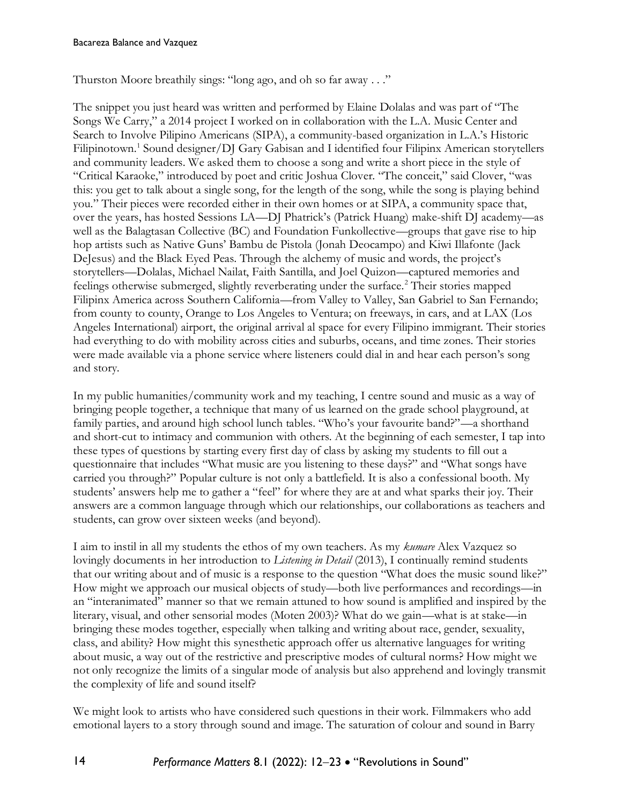Thurston Moore breathily sings: "long ago, and oh so far away . . ."

The snippet you just heard was written and performed by Elaine Dolalas and was part of "The Songs We Carry," a 2014 project I worked on in collaboration with the L.A. Music Center and Search to Involve Pilipino Americans (SIPA), a community-based organization in L.A.'s Historic Filipinotown.<sup>1</sup> Sound designer/DJ Gary Gabisan and I identified four Filipinx American storytellers and community leaders. We asked them to choose a song and write a short piece in the style of "Critical Karaoke," introduced by poet and critic Joshua Clover. "The conceit," said Clover, "was this: you get to talk about a single song, for the length of the song, while the song is playing behind you." Their pieces were recorded either in their own homes or at SIPA, a community space that, over the years, has hosted Sessions LA—DJ Phatrick's (Patrick Huang) make-shift DJ academy—as well as the Balagtasan Collective (BC) and Foundation Funkollective—groups that gave rise to hip hop artists such as Native Guns' Bambu de Pistola (Jonah Deocampo) and Kiwi Illafonte (Jack DeJesus) and the Black Eyed Peas. Through the alchemy of music and words, the project's storytellers—Dolalas, Michael Nailat, Faith Santilla, and Joel Quizon—captured memories and feelings otherwise submerged, slightly reverberating under the surface.<sup>2</sup> Their stories mapped Filipinx America across Southern California—from Valley to Valley, San Gabriel to San Fernando; from county to county, Orange to Los Angeles to Ventura; on freeways, in cars, and at LAX (Los Angeles International) airport, the original arrival al space for every Filipino immigrant. Their stories had everything to do with mobility across cities and suburbs, oceans, and time zones. Their stories were made available via a phone service where listeners could dial in and hear each person's song and story.

In my public humanities/community work and my teaching, I centre sound and music as a way of bringing people together, a technique that many of us learned on the grade school playground, at family parties, and around high school lunch tables. "Who's your favourite band?"—a shorthand and short-cut to intimacy and communion with others. At the beginning of each semester, I tap into these types of questions by starting every first day of class by asking my students to fill out a questionnaire that includes "What music are you listening to these days?" and "What songs have carried you through?" Popular culture is not only a battlefield. It is also a confessional booth. My students' answers help me to gather a "feel" for where they are at and what sparks their joy. Their answers are a common language through which our relationships, our collaborations as teachers and students, can grow over sixteen weeks (and beyond).

I aim to instil in all my students the ethos of my own teachers. As my *kumare* Alex Vazquez so lovingly documents in her introduction to *Listening in Detail* (2013), I continually remind students that our writing about and of music is a response to the question "What does the music sound like?" How might we approach our musical objects of study—both live performances and recordings—in an "interanimated" manner so that we remain attuned to how sound is amplified and inspired by the literary, visual, and other sensorial modes (Moten 2003)? What do we gain—what is at stake—in bringing these modes together, especially when talking and writing about race, gender, sexuality, class, and ability? How might this synesthetic approach offer us alternative languages for writing about music, a way out of the restrictive and prescriptive modes of cultural norms? How might we not only recognize the limits of a singular mode of analysis but also apprehend and lovingly transmit the complexity of life and sound itself?

We might look to artists who have considered such questions in their work. Filmmakers who add emotional layers to a story through sound and image. The saturation of colour and sound in Barry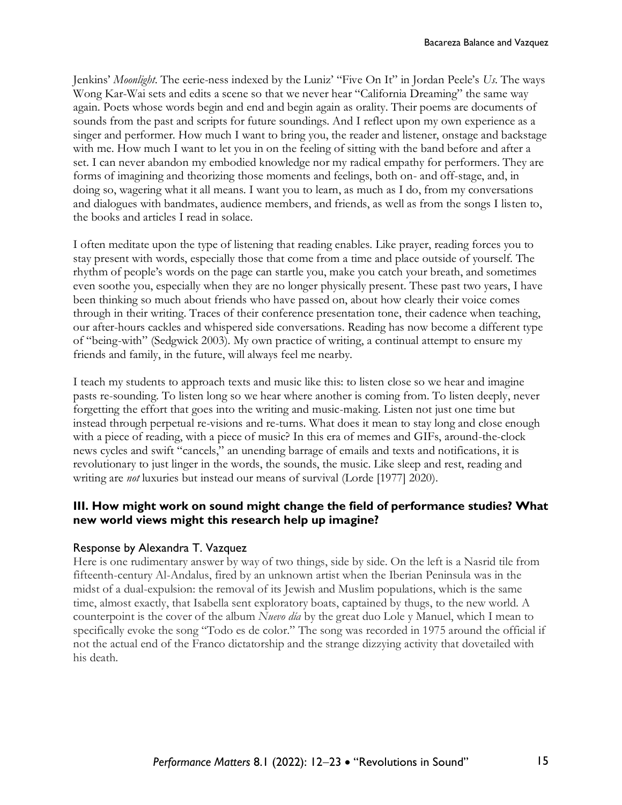Jenkins' *Moonlight*. The eerie-ness indexed by the Luniz' "Five On It" in Jordan Peele's *Us*. The ways Wong Kar-Wai sets and edits a scene so that we never hear "California Dreaming" the same way again. Poets whose words begin and end and begin again as orality. Their poems are documents of sounds from the past and scripts for future soundings. And I reflect upon my own experience as a singer and performer. How much I want to bring you, the reader and listener, onstage and backstage with me. How much I want to let you in on the feeling of sitting with the band before and after a set. I can never abandon my embodied knowledge nor my radical empathy for performers. They are forms of imagining and theorizing those moments and feelings, both on- and off-stage, and, in doing so, wagering what it all means. I want you to learn, as much as I do, from my conversations and dialogues with bandmates, audience members, and friends, as well as from the songs I listen to, the books and articles I read in solace.

I often meditate upon the type of listening that reading enables. Like prayer, reading forces you to stay present with words, especially those that come from a time and place outside of yourself. The rhythm of people's words on the page can startle you, make you catch your breath, and sometimes even soothe you, especially when they are no longer physically present. These past two years, I have been thinking so much about friends who have passed on, about how clearly their voice comes through in their writing. Traces of their conference presentation tone, their cadence when teaching, our after-hours cackles and whispered side conversations. Reading has now become a different type of "being-with" (Sedgwick 2003). My own practice of writing, a continual attempt to ensure my friends and family, in the future, will always feel me nearby.

I teach my students to approach texts and music like this: to listen close so we hear and imagine pasts re-sounding. To listen long so we hear where another is coming from. To listen deeply, never forgetting the effort that goes into the writing and music-making. Listen not just one time but instead through perpetual re-visions and re-turns. What does it mean to stay long and close enough with a piece of reading, with a piece of music? In this era of memes and GIFs, around-the-clock news cycles and swift "cancels," an unending barrage of emails and texts and notifications, it is revolutionary to just linger in the words, the sounds, the music. Like sleep and rest, reading and writing are *not* luxuries but instead our means of survival (Lorde [1977] 2020).

## **III. How might work on sound might change the field of performance studies? What new world views might this research help up imagine?**

### Response by Alexandra T. Vazquez

Here is one rudimentary answer by way of two things, side by side. On the left is a Nasrid tile from fifteenth-century Al-Andalus, fired by an unknown artist when the Iberian Peninsula was in the midst of a dual-expulsion: the removal of its Jewish and Muslim populations, which is the same time, almost exactly, that Isabella sent exploratory boats, captained by thugs, to the new world. A counterpoint is the cover of the album *Nuevo día* by the great duo Lole y Manuel, which I mean to specifically evoke the song "Todo es de color." The song was recorded in 1975 around the official if not the actual end of the Franco dictatorship and the strange dizzying activity that dovetailed with his death.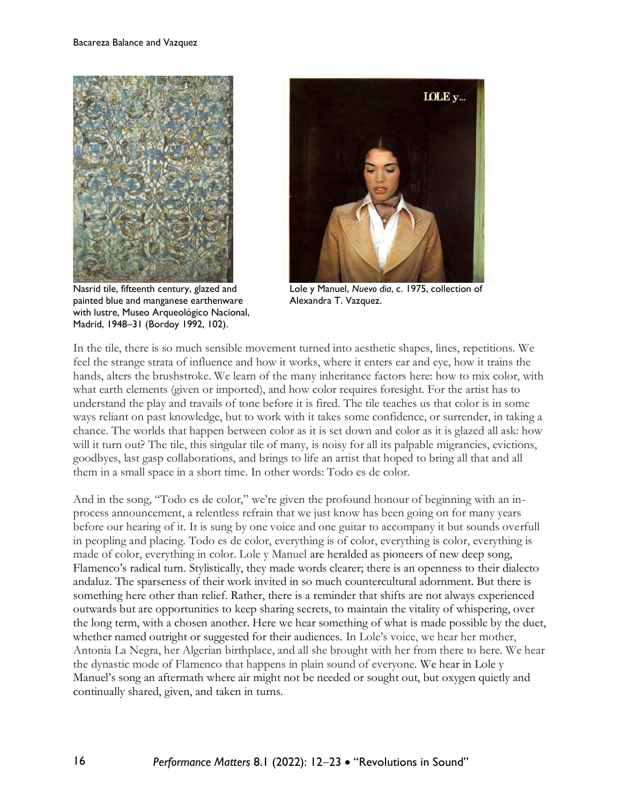

Nasrid tile, fifteenth century, glazed and painted blue and manganese earthenware Alexandra T. Vazquez. with lustre, Museo Arqueológico Nacional, Madrid, 1948–31 (Bordoy 1992, 102).



Lole y Manuel, Nuevo dia, c. 1975, collection of

In the tile, there is so much sensible movement turned into aesthetic shapes, lines, repetitions. We feel the strange strata of influence and how it works, where it enters ear and eye, how it trains the hands, alters the brushstroke. We learn of the many inheritance factors here: how to mix color, with what earth elements (given or imported), and how color requires foresight. For the artist has to understand the play and travails of tone before it is fired. The tile teaches us that color is in some ways reliant on past knowledge, but to work with it takes some confidence, or surrender, in taking a chance. The worlds that happen between color as it is set down and color as it is glazed all ask: how will it turn out? The tile, this singular tile of many, is noisy for all its palpable migrancies, evictions, goodbyes, last gasp collaborations, and brings to life an artist that hoped to bring all that and all them in a small space in a short time. In other words: Todo es de color.

And in the song, "Todo es de color," we're given the profound honour of beginning with an inprocess announcement, a relentless refrain that we just know has been going on for many years before our hearing of it. It is sung by one voice and one guitar to accompany it but sounds overfull in peopling and placing. Todo es de color, everything is of color, everything is color, everything is made of color, everything in color. Lole y Manuel are heralded as pioneers of new deep song, Flamenco's radical turn. Stylistically, they made words clearer; there is an openness to their dialecto andaluz. The sparseness of their work invited in so much countercultural adornment. But there is something here other than relief. Rather, there is a reminder that shifts are not always experienced outwards but are opportunities to keep sharing secrets, to maintain the vitality of whispering, over the long term, with a chosen another. Here we hear something of what is made possible by the duet, whether named outright or suggested for their audiences. In Lole's voice, we hear her mother, Antonia La Negra, her Algerian birthplace, and all she brought with her from there to here. We hear the dynastic mode of Flamenco that happens in plain sound of everyone. We hear in Lole y Manuel's song an aftermath where air might not be needed or sought out, but oxygen quietly and continually shared, given, and taken in turns.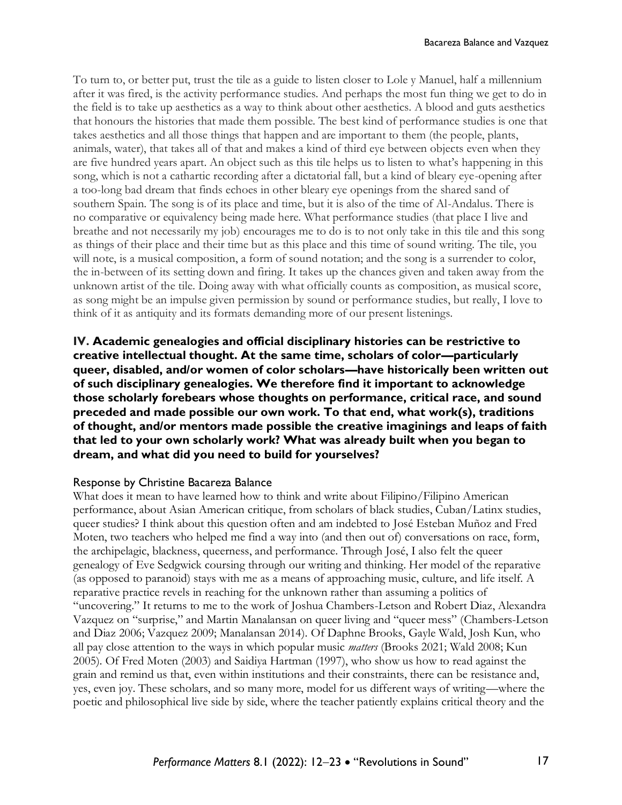To turn to, or better put, trust the tile as a guide to listen closer to Lole y Manuel, half a millennium after it was fired, is the activity performance studies. And perhaps the most fun thing we get to do in the field is to take up aesthetics as a way to think about other aesthetics. A blood and guts aesthetics that honours the histories that made them possible. The best kind of performance studies is one that takes aesthetics and all those things that happen and are important to them (the people, plants, animals, water), that takes all of that and makes a kind of third eye between objects even when they are five hundred years apart. An object such as this tile helps us to listen to what's happening in this song, which is not a cathartic recording after a dictatorial fall, but a kind of bleary eye-opening after a too-long bad dream that finds echoes in other bleary eye openings from the shared sand of southern Spain. The song is of its place and time, but it is also of the time of Al-Andalus. There is no comparative or equivalency being made here. What performance studies (that place I live and breathe and not necessarily my job) encourages me to do is to not only take in this tile and this song as things of their place and their time but as this place and this time of sound writing. The tile, you will note, is a musical composition, a form of sound notation; and the song is a surrender to color, the in-between of its setting down and firing. It takes up the chances given and taken away from the unknown artist of the tile. Doing away with what officially counts as composition, as musical score, as song might be an impulse given permission by sound or performance studies, but really, I love to think of it as antiquity and its formats demanding more of our present listenings.

**IV. Academic genealogies and official disciplinary histories can be restrictive to creative intellectual thought. At the same time, scholars of color—particularly queer, disabled, and/or women of color scholars—have historically been written out of such disciplinary genealogies. We therefore find it important to acknowledge those scholarly forebears whose thoughts on performance, critical race, and sound preceded and made possible our own work. To that end, what work(s), traditions of thought, and/or mentors made possible the creative imaginings and leaps of faith that led to your own scholarly work? What was already built when you began to dream, and what did you need to build for yourselves?**

#### Response by Christine Bacareza Balance

What does it mean to have learned how to think and write about Filipino/Filipino American performance, about Asian American critique, from scholars of black studies, Cuban/Latinx studies, queer studies? I think about this question often and am indebted to José Esteban Muñoz and Fred Moten, two teachers who helped me find a way into (and then out of) conversations on race, form, the archipelagic, blackness, queerness, and performance. Through José, I also felt the queer genealogy of Eve Sedgwick coursing through our writing and thinking. Her model of the reparative (as opposed to paranoid) stays with me as a means of approaching music, culture, and life itself. A reparative practice revels in reaching for the unknown rather than assuming a politics of "uncovering." It returns to me to the work of Joshua Chambers-Letson and Robert Diaz, Alexandra Vazquez on "surprise," and Martin Manalansan on queer living and "queer mess" (Chambers-Letson and Diaz 2006; Vazquez 2009; Manalansan 2014). Of Daphne Brooks, Gayle Wald, Josh Kun, who all pay close attention to the ways in which popular music *matters* (Brooks 2021; Wald 2008; Kun 2005). Of Fred Moten (2003) and Saidiya Hartman (1997), who show us how to read against the grain and remind us that, even within institutions and their constraints, there can be resistance and, yes, even joy. These scholars, and so many more, model for us different ways of writing—where the poetic and philosophical live side by side, where the teacher patiently explains critical theory and the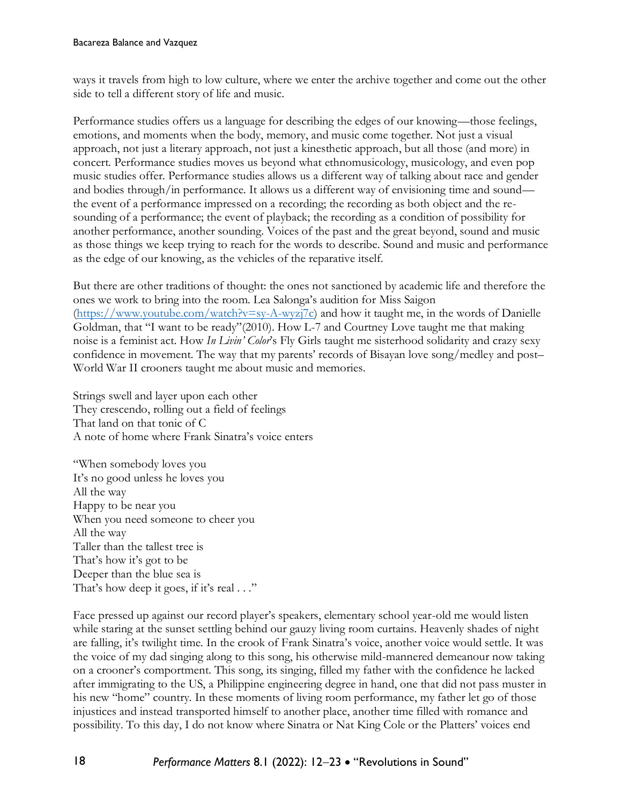ways it travels from high to low culture, where we enter the archive together and come out the other side to tell a different story of life and music.

Performance studies offers us a language for describing the edges of our knowing—those feelings, emotions, and moments when the body, memory, and music come together. Not just a visual approach, not just a literary approach, not just a kinesthetic approach, but all those (and more) in concert. Performance studies moves us beyond what ethnomusicology, musicology, and even pop music studies offer. Performance studies allows us a different way of talking about race and gender and bodies through/in performance. It allows us a different way of envisioning time and sound the event of a performance impressed on a recording; the recording as both object and the resounding of a performance; the event of playback; the recording as a condition of possibility for another performance, another sounding. Voices of the past and the great beyond, sound and music as those things we keep trying to reach for the words to describe. Sound and music and performance as the edge of our knowing, as the vehicles of the reparative itself.

But there are other traditions of thought: the ones not sanctioned by academic life and therefore the ones we work to bring into the room. Lea Salonga's audition for Miss Saigon [\(https://www.youtube.com/watch?v=sy-A-wyzj7c\)](https://www.youtube.com/watch?v=sy-A-wyzj7c) and how it taught me, in the words of Danielle Goldman, that "I want to be ready"(2010). How L-7 and Courtney Love taught me that making noise is a feminist act. How *In Livin' Color*'s Fly Girls taught me sisterhood solidarity and crazy sexy confidence in movement. The way that my parents' records of Bisayan love song/medley and post– World War II crooners taught me about music and memories.

Strings swell and layer upon each other They crescendo, rolling out a field of feelings That land on that tonic of C A note of home where Frank Sinatra's voice enters

"When somebody loves you It's no good unless he loves you All the way Happy to be near you When you need someone to cheer you All the way Taller than the tallest tree is That's how it's got to be Deeper than the blue sea is That's how deep it goes, if it's real . . ."

Face pressed up against our record player's speakers, elementary school year-old me would listen while staring at the sunset settling behind our gauzy living room curtains. Heavenly shades of night are falling, it's twilight time. In the crook of Frank Sinatra's voice, another voice would settle. It was the voice of my dad singing along to this song, his otherwise mild-mannered demeanour now taking on a crooner's comportment. This song, its singing, filled my father with the confidence he lacked after immigrating to the US, a Philippine engineering degree in hand, one that did not pass muster in his new "home" country. In these moments of living room performance, my father let go of those injustices and instead transported himself to another place, another time filled with romance and possibility. To this day, I do not know where Sinatra or Nat King Cole or the Platters' voices end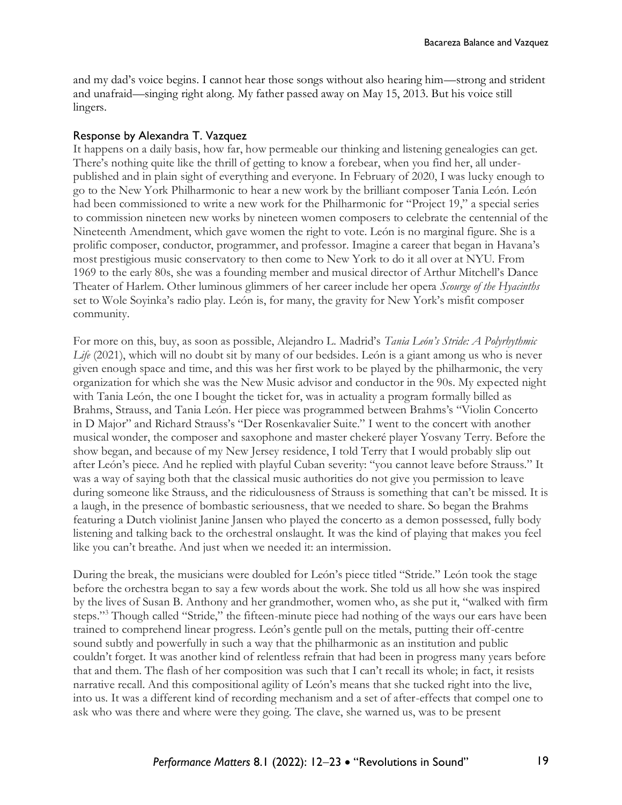and my dad's voice begins. I cannot hear those songs without also hearing him—strong and strident and unafraid—singing right along. My father passed away on May 15, 2013. But his voice still lingers.

#### Response by Alexandra T. Vazquez

It happens on a daily basis, how far, how permeable our thinking and listening genealogies can get. There's nothing quite like the thrill of getting to know a forebear, when you find her, all underpublished and in plain sight of everything and everyone. In February of 2020, I was lucky enough to go to the New York Philharmonic to hear a new work by the brilliant composer Tania León. León had been commissioned to write a new work for the Philharmonic for "Project 19," a special series to commission nineteen new works by nineteen women composers to celebrate the centennial of the Nineteenth Amendment, which gave women the right to vote. León is no marginal figure. She is a prolific composer, conductor, programmer, and professor. Imagine a career that began in Havana's most prestigious music conservatory to then come to New York to do it all over at NYU. From 1969 to the early 80s, she was a founding member and musical director of Arthur Mitchell's Dance Theater of Harlem. Other luminous glimmers of her career include her opera *Scourge of the Hyacinths* set to Wole Soyinka's radio play. León is, for many, the gravity for New York's misfit composer community.

For more on this, buy, as soon as possible, Alejandro L. Madrid's *Tania León's Stride: A Polyrhythmic Life* (2021), which will no doubt sit by many of our bedsides. León is a giant among us who is never given enough space and time, and this was her first work to be played by the philharmonic, the very organization for which she was the New Music advisor and conductor in the 90s. My expected night with Tania León, the one I bought the ticket for, was in actuality a program formally billed as Brahms, Strauss, and Tania León. Her piece was programmed between Brahms's "Violin Concerto in D Major" and Richard Strauss's "Der Rosenkavalier Suite." I went to the concert with another musical wonder, the composer and saxophone and master chekeré player Yosvany Terry. Before the show began, and because of my New Jersey residence, I told Terry that I would probably slip out after León's piece. And he replied with playful Cuban severity: "you cannot leave before Strauss." It was a way of saying both that the classical music authorities do not give you permission to leave during someone like Strauss, and the ridiculousness of Strauss is something that can't be missed. It is a laugh, in the presence of bombastic seriousness, that we needed to share. So began the Brahms featuring a Dutch violinist Janine Jansen who played the concerto as a demon possessed, fully body listening and talking back to the orchestral onslaught. It was the kind of playing that makes you feel like you can't breathe. And just when we needed it: an intermission.

During the break, the musicians were doubled for León's piece titled "Stride." León took the stage before the orchestra began to say a few words about the work. She told us all how she was inspired by the lives of Susan B. Anthony and her grandmother, women who, as she put it, "walked with firm steps."<sup>3</sup> Though called "Stride," the fifteen-minute piece had nothing of the ways our ears have been trained to comprehend linear progress. León's gentle pull on the metals, putting their off-centre sound subtly and powerfully in such a way that the philharmonic as an institution and public couldn't forget. It was another kind of relentless refrain that had been in progress many years before that and them. The flash of her composition was such that I can't recall its whole; in fact, it resists narrative recall. And this compositional agility of León's means that she tucked right into the live, into us. It was a different kind of recording mechanism and a set of after-effects that compel one to ask who was there and where were they going. The clave, she warned us, was to be present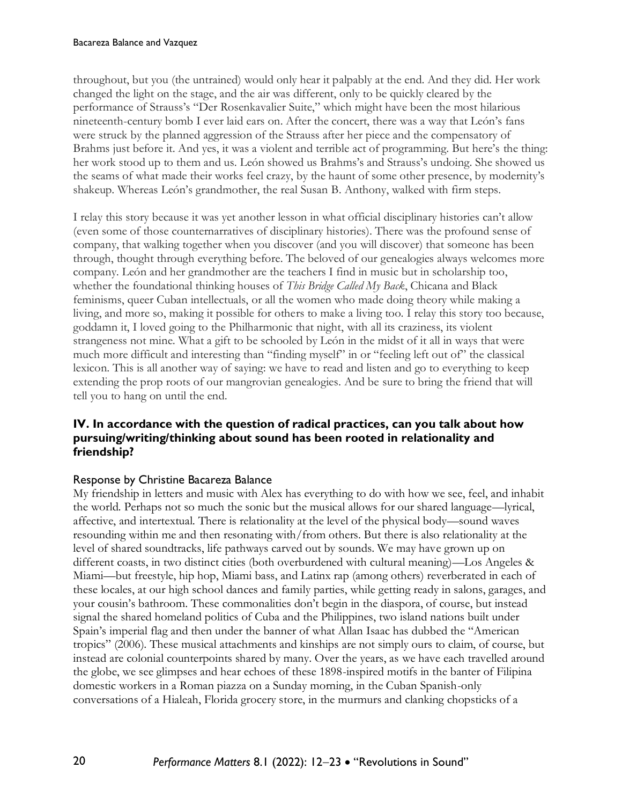throughout, but you (the untrained) would only hear it palpably at the end. And they did. Her work changed the light on the stage, and the air was different, only to be quickly cleared by the performance of Strauss's "Der Rosenkavalier Suite," which might have been the most hilarious nineteenth-century bomb I ever laid ears on. After the concert, there was a way that León's fans were struck by the planned aggression of the Strauss after her piece and the compensatory of Brahms just before it. And yes, it was a violent and terrible act of programming. But here's the thing: her work stood up to them and us. León showed us Brahms's and Strauss's undoing. She showed us the seams of what made their works feel crazy, by the haunt of some other presence, by modernity's shakeup. Whereas León's grandmother, the real Susan B. Anthony, walked with firm steps.

I relay this story because it was yet another lesson in what official disciplinary histories can't allow (even some of those counternarratives of disciplinary histories). There was the profound sense of company, that walking together when you discover (and you will discover) that someone has been through, thought through everything before. The beloved of our genealogies always welcomes more company. León and her grandmother are the teachers I find in music but in scholarship too, whether the foundational thinking houses of *This Bridge Called My Back*, Chicana and Black feminisms, queer Cuban intellectuals, or all the women who made doing theory while making a living, and more so, making it possible for others to make a living too. I relay this story too because, goddamn it, I loved going to the Philharmonic that night, with all its craziness, its violent strangeness not mine. What a gift to be schooled by León in the midst of it all in ways that were much more difficult and interesting than "finding myself" in or "feeling left out of" the classical lexicon. This is all another way of saying: we have to read and listen and go to everything to keep extending the prop roots of our mangrovian genealogies. And be sure to bring the friend that will tell you to hang on until the end.

## **IV. In accordance with the question of radical practices, can you talk about how pursuing/writing/thinking about sound has been rooted in relationality and friendship?**

### Response by Christine Bacareza Balance

My friendship in letters and music with Alex has everything to do with how we see, feel, and inhabit the world. Perhaps not so much the sonic but the musical allows for our shared language—lyrical, affective, and intertextual. There is relationality at the level of the physical body—sound waves resounding within me and then resonating with/from others. But there is also relationality at the level of shared soundtracks, life pathways carved out by sounds. We may have grown up on different coasts, in two distinct cities (both overburdened with cultural meaning)—Los Angeles & Miami—but freestyle, hip hop, Miami bass, and Latinx rap (among others) reverberated in each of these locales, at our high school dances and family parties, while getting ready in salons, garages, and your cousin's bathroom. These commonalities don't begin in the diaspora, of course, but instead signal the shared homeland politics of Cuba and the Philippines, two island nations built under Spain's imperial flag and then under the banner of what Allan Isaac has dubbed the "American tropics" (2006). These musical attachments and kinships are not simply ours to claim, of course, but instead are colonial counterpoints shared by many. Over the years, as we have each travelled around the globe, we see glimpses and hear echoes of these 1898-inspired motifs in the banter of Filipina domestic workers in a Roman piazza on a Sunday morning, in the Cuban Spanish-only conversations of a Hialeah, Florida grocery store, in the murmurs and clanking chopsticks of a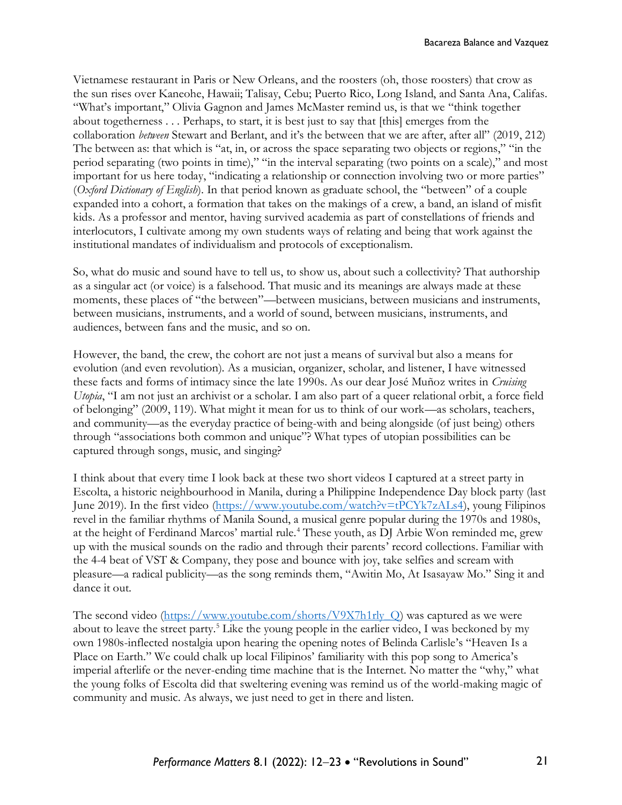Vietnamese restaurant in Paris or New Orleans, and the roosters (oh, those roosters) that crow as the sun rises over Kaneohe, Hawaii; Talisay, Cebu; Puerto Rico, Long Island, and Santa Ana, Califas. "What's important," Olivia Gagnon and James McMaster remind us, is that we "think together about togetherness . . . Perhaps, to start, it is best just to say that [this] emerges from the collaboration *between* Stewart and Berlant, and it's the between that we are after, after all" (2019, 212) The between as: that which is "at, in, or across the space separating two objects or regions," "in the period separating (two points in time)," "in the interval separating (two points on a scale)," and most important for us here today, "indicating a relationship or connection involving two or more parties" (*Oxford Dictionary of English*). In that period known as graduate school, the "between" of a couple expanded into a cohort, a formation that takes on the makings of a crew, a band, an island of misfit kids. As a professor and mentor, having survived academia as part of constellations of friends and interlocutors, I cultivate among my own students ways of relating and being that work against the institutional mandates of individualism and protocols of exceptionalism.

So, what do music and sound have to tell us, to show us, about such a collectivity? That authorship as a singular act (or voice) is a falsehood. That music and its meanings are always made at these moments, these places of "the between"—between musicians, between musicians and instruments, between musicians, instruments, and a world of sound, between musicians, instruments, and audiences, between fans and the music, and so on.

However, the band, the crew, the cohort are not just a means of survival but also a means for evolution (and even revolution). As a musician, organizer, scholar, and listener, I have witnessed these facts and forms of intimacy since the late 1990s. As our dear José Muñoz writes in *Cruising Utopia*, "I am not just an archivist or a scholar. I am also part of a queer relational orbit, a force field of belonging" (2009, 119). What might it mean for us to think of our work—as scholars, teachers, and community—as the everyday practice of being-with and being alongside (of just being) others through "associations both common and unique"? What types of utopian possibilities can be captured through songs, music, and singing?

I think about that every time I look back at these two short videos I captured at a street party in Escolta, a historic neighbourhood in Manila, during a Philippine Independence Day block party (last June 2019). In the first video [\(https://www.youtube.com/watch?v=tPCYk7zALs4\)](https://www.youtube.com/watch?v=tPCYk7zALs4), young Filipinos revel in the familiar rhythms of Manila Sound, a musical genre popular during the 1970s and 1980s, at the height of Ferdinand Marcos' martial rule.<sup>4</sup> These youth, as DJ Arbie Won reminded me, grew up with the musical sounds on the radio and through their parents' record collections. Familiar with the 4-4 beat of VST & Company, they pose and bounce with joy, take selfies and scream with pleasure—a radical publicity—as the song reminds them, "Awitin Mo, At Isasayaw Mo." Sing it and dance it out.

The second video [\(https://www.youtube.com/shorts/V9X7h1rly\\_Q\)](https://www.youtube.com/shorts/V9X7h1rly_Q) was captured as we were about to leave the street party.<sup>5</sup> Like the young people in the earlier video, I was beckoned by my own 1980s-inflected nostalgia upon hearing the opening notes of Belinda Carlisle's "Heaven Is a Place on Earth." We could chalk up local Filipinos' familiarity with this pop song to America's imperial afterlife or the never-ending time machine that is the Internet. No matter the "why," what the young folks of Escolta did that sweltering evening was remind us of the world-making magic of community and music. As always, we just need to get in there and listen.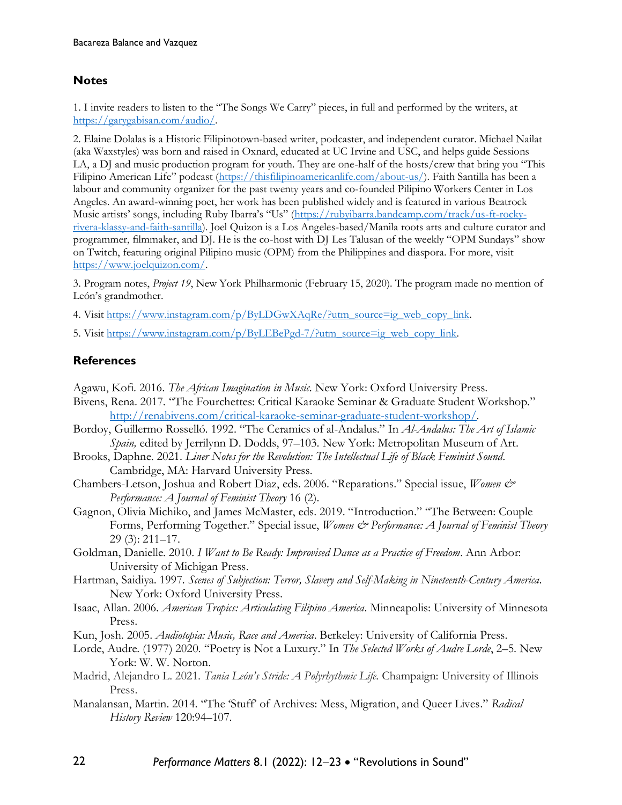#### **Notes**

1. I invite readers to listen to the "The Songs We Carry" pieces, in full and performed by the writers, at [https://garygabisan.com/audio/.](https://garygabisan.com/audio/)

2. Elaine Dolalas is a Historic Filipinotown-based writer, podcaster, and independent curator. Michael Nailat (aka Waxstyles) was born and raised in Oxnard, educated at UC Irvine and USC, and helps guide Sessions LA, a DJ and music production program for youth. They are one-half of the hosts/crew that bring you "This Filipino American Life" podcast ([https://thisfilipinoamericanlife.com/about-us/\)](https://thisfilipinoamericanlife.com/about-us/). Faith Santilla has been a labour and community organizer for the past twenty years and co-founded Pilipino Workers Center in Los Angeles. An award-winning poet, her work has been published widely and is featured in various Beatrock Music artists' songs, including Ruby Ibarra's "Us" ([https://rubyibarra.bandcamp.com/track/us-ft-rocky](https://rubyibarra.bandcamp.com/track/us-ft-rocky-rivera-klassy-and-faith-santilla)[rivera-klassy-and-faith-santilla\)](https://rubyibarra.bandcamp.com/track/us-ft-rocky-rivera-klassy-and-faith-santilla). Joel Quizon is a Los Angeles-based/Manila roots arts and culture curator and programmer, filmmaker, and DJ. He is the co-host with DJ Les Talusan of the weekly "OPM Sundays" show on Twitch, featuring original Pilipino music (OPM) from the Philippines and diaspora. For more, visit [https://www.joelquizon.com/.](https://www.joelquizon.com/)

3. Program notes, *Project 19*, New York Philharmonic (February 15, 2020). The program made no mention of León's grandmother.

- 4. Visit [https://www.instagram.com/p/ByLDGwXAqRe/?utm\\_source=ig\\_web\\_copy\\_link.](https://www.instagram.com/p/ByLDGwXAqRe/?utm_source=ig_web_copy_link)
- 5. Visit [https://www.instagram.com/p/ByLEBePgd-7/?utm\\_source=ig\\_web\\_copy\\_link.](https://www.instagram.com/p/ByLEBePgd-7/?utm_source=ig_web_copy_link)

### **References**

Agawu, Kofi. 2016. *The African Imagination in Music*. New York: Oxford University Press.

- Bivens, Rena. 2017. "The Fourchettes: Critical Karaoke Seminar & Graduate Student Workshop." [http://renabivens.com/critical-karaoke-seminar-graduate-student-workshop/.](http://renabivens.com/critical-karaoke-seminar-graduate-student-workshop/)
- Bordoy, Guillermo Rosselló. 1992. "The Ceramics of al-Andalus." In *Al-Andalus: The Art of Islamic Spain,* edited by Jerrilynn D. Dodds, 97–103. New York: Metropolitan Museum of Art.
- Brooks, Daphne. 2021. *Liner Notes for the Revolution: The Intellectual Life of Black Feminist Sound*. Cambridge, MA: Harvard University Press.
- Chambers-Letson, Joshua and Robert Diaz, eds. 2006. "Reparations." Special issue, *Women & Performance: A Journal of Feminist Theory* 16 (2).
- Gagnon, Olivia Michiko, and James McMaster, eds. 2019. "Introduction." "The Between: Couple Forms, Performing Together." Special issue, *Women & Performance: A Journal of Feminist Theory* 29 (3): 211–17.
- Goldman, Danielle. 2010. *I Want to Be Ready: Improvised Dance as a Practice of Freedom*. Ann Arbor: University of Michigan Press.
- Hartman, Saidiya. 1997. *Scenes of Subjection: Terror, Slavery and Self-Making in Nineteenth-Century America*. New York: Oxford University Press.
- Isaac, Allan. 2006. *American Tropics: Articulating Filipino America*. Minneapolis: University of Minnesota Press.
- Kun, Josh. 2005. *Audiotopia: Music, Race and America*. Berkeley: University of California Press.
- Lorde, Audre. (1977) 2020. "Poetry is Not a Luxury." In *The Selected Works of Audre Lorde*, 2–5. New York: W. W. Norton.
- Madrid, Alejandro L. 2021. *Tania León's Stride: A Polyrhythmic Life.* Champaign: University of Illinois Press.
- Manalansan, Martin. 2014. "The 'Stuff' of Archives: Mess, Migration, and Queer Lives." *Radical History Review* 120:94–107.